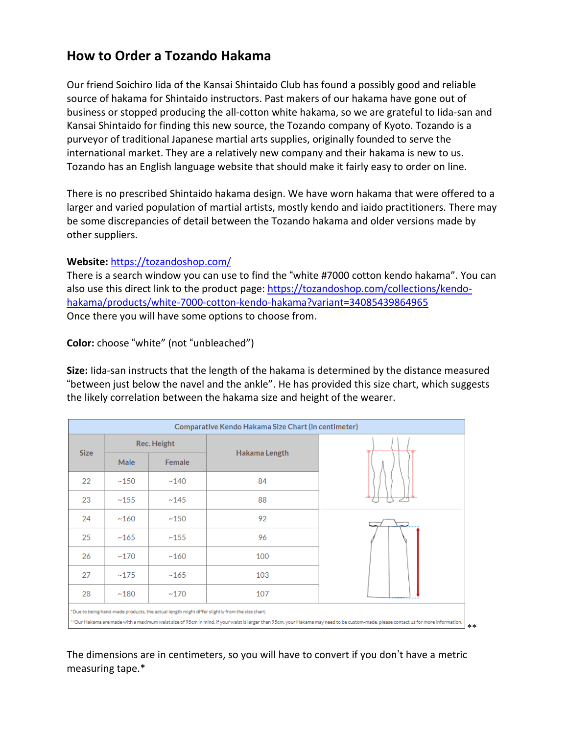# **How to Order a Tozando Hakama**

Our friend Soichiro Iida of the Kansai Shintaido Club has found a possibly good and reliable source of hakama for Shintaido instructors. Past makers of our hakama have gone out of business or stopped producing the all-cotton white hakama, so we are grateful to Iida-san and Kansai Shintaido for finding this new source, the Tozando company of Kyoto. Tozando is a purveyor of traditional Japanese martial arts supplies, originally founded to serve the international market. They are a relatively new company and their hakama is new to us. Tozando has an English language website that should make it fairly easy to order on line.

There is no prescribed Shintaido hakama design. We have worn hakama that were offered to a larger and varied population of martial artists, mostly kendo and iaido practitioners. There may be some discrepancies of detail between the Tozando hakama and older versions made by other suppliers.

### **Website:** <https://tozandoshop.com/>

There is a search window you can use to find the "white #7000 cotton kendo hakama". You can also use this direct link to the product page: [https://tozandoshop.com/collections/kendo](https://tozandoshop.com/collections/kendo-hakama/products/white-7000-cotton-kendo-hakama?variant=34085439864965)[hakama/products/white-7000-cotton-kendo-hakama?variant=34085439864965](https://tozandoshop.com/collections/kendo-hakama/products/white-7000-cotton-kendo-hakama?variant=34085439864965) Once there you will have some options to choose from.

**Color:** choose "white" (not "unbleached")

**Size:** Iida-san instructs that the length of the hakama is determined by the distance measured "between just below the navel and the ankle". He has provided this size chart, which suggests the likely correlation between the hakama size and height of the wearer.

| Comparative Kendo Hakama Size Chart (in centimeter) |             |        |                                                                                                |                                                                                                                                                                                     |  |
|-----------------------------------------------------|-------------|--------|------------------------------------------------------------------------------------------------|-------------------------------------------------------------------------------------------------------------------------------------------------------------------------------------|--|
| <b>Size</b>                                         | Rec. Height |        |                                                                                                |                                                                                                                                                                                     |  |
|                                                     | Male        | Female | Hakama Length                                                                                  |                                                                                                                                                                                     |  |
| 22                                                  | ~150        | ~140   | 84                                                                                             |                                                                                                                                                                                     |  |
| 23                                                  | ~155        | ~145   | 88                                                                                             |                                                                                                                                                                                     |  |
| 24                                                  | ~160        | ~150   | 92                                                                                             |                                                                                                                                                                                     |  |
| 25                                                  | ~165        | ~155   | 96                                                                                             |                                                                                                                                                                                     |  |
| 26                                                  | ~170        | ~160   | 100                                                                                            |                                                                                                                                                                                     |  |
| 27                                                  | ~175        | ~165   | 103                                                                                            |                                                                                                                                                                                     |  |
| 28                                                  | ~180        | ~170   | 107                                                                                            |                                                                                                                                                                                     |  |
|                                                     |             |        | *Due to being hand-made products, the actual length might differ slightly from the size chart. | **Our Hakama are made with a maximum waist size of 95cm in mind, if your waist is larger than 95cm, your Hakama may need to be custom-made, please contact us for more information. |  |

The dimensions are in centimeters, so you will have to convert if you don't have a metric measuring tape.\*